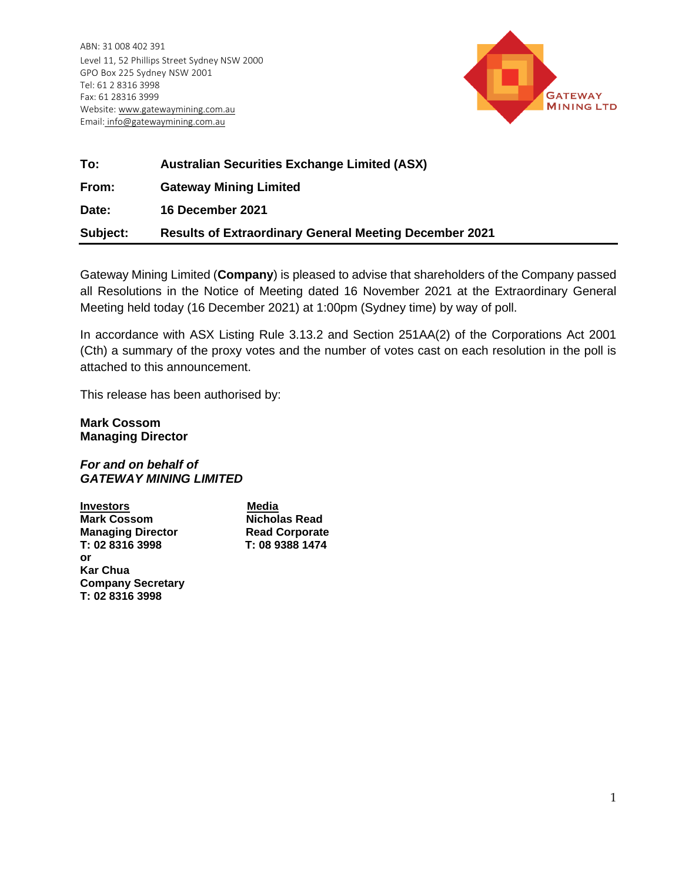ABN: 31 008 402 391 Level 11, 52 Phillips Street Sydney NSW 2000 GPO Box 225 Sydney NSW 2001 Tel: 61 2 8316 3998 Fax: 61 28316 3999 Website: www.gatewaymining.com.au Email: [info@gatewaymining.com.au](mailto:info@gatewaymining.com.au)



| To:      | <b>Australian Securities Exchange Limited (ASX)</b>           |
|----------|---------------------------------------------------------------|
| From:    | <b>Gateway Mining Limited</b>                                 |
| Date:    | 16 December 2021                                              |
| Subject: | <b>Results of Extraordinary General Meeting December 2021</b> |

Gateway Mining Limited (**Company**) is pleased to advise that shareholders of the Company passed all Resolutions in the Notice of Meeting dated 16 November 2021 at the Extraordinary General Meeting held today (16 December 2021) at 1:00pm (Sydney time) by way of poll.

In accordance with ASX Listing Rule 3.13.2 and Section 251AA(2) of the Corporations Act 2001 (Cth) a summary of the proxy votes and the number of votes cast on each resolution in the poll is attached to this announcement.

This release has been authorised by:

**Mark Cossom Managing Director**

## *For and on behalf of GATEWAY MINING LIMITED*

**Investors** Media **Mark Cossom Nicholas Read Cossom Nicholas Read Ave Managing Director Read Corporate<br>T: 02 8316 3998 T: 08 9388 1474** T: 02 8316 3998 **or Kar Chua Company Secretary T: 02 8316 3998**